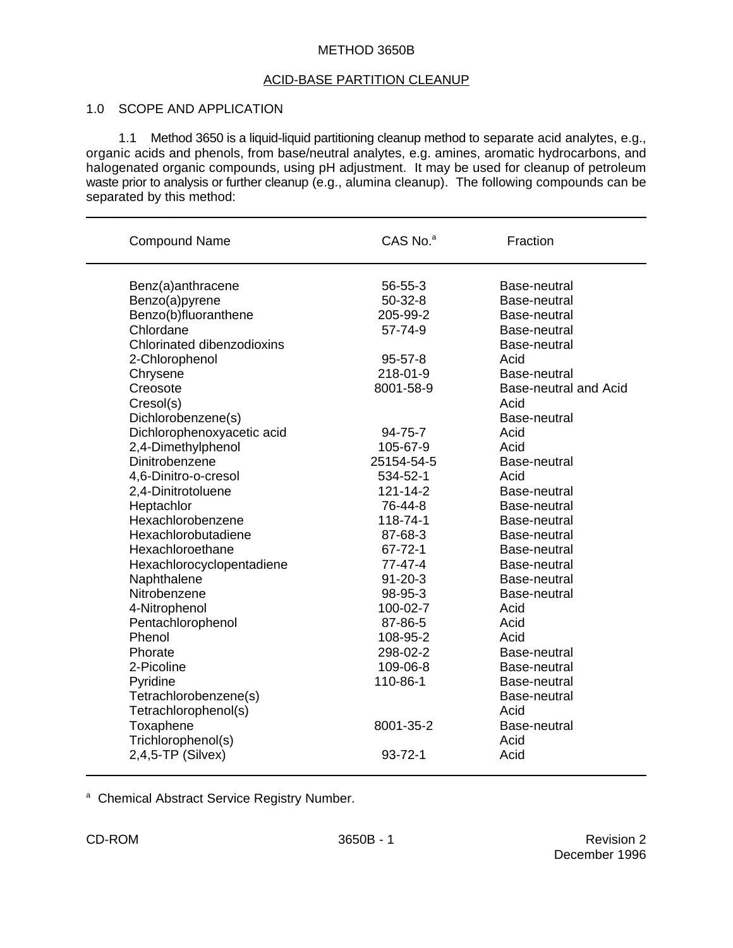#### METHOD 3650B

## ACID-BASE PARTITION CLEANUP

## 1.0 SCOPE AND APPLICATION

1.1 Method 3650 is a liquid-liquid partitioning cleanup method to separate acid analytes, e.g., organic acids and phenols, from base/neutral analytes, e.g. amines, aromatic hydrocarbons, and halogenated organic compounds, using pH adjustment. It may be used for cleanup of petroleum waste prior to analysis or further cleanup (e.g., alumina cleanup). The following compounds can be separated by this method:

\_\_\_\_\_\_\_\_\_\_\_\_\_\_\_\_\_\_\_\_\_\_\_\_\_\_\_\_\_\_\_\_\_\_\_\_\_\_\_\_\_\_\_\_\_\_\_\_\_\_\_\_\_\_\_\_\_\_\_\_\_\_\_\_\_\_\_\_\_\_\_\_\_\_\_\_\_\_\_

| <b>Compound Name</b>              | CAS No. <sup>a</sup> | Fraction                     |
|-----------------------------------|----------------------|------------------------------|
| Benz(a)anthracene                 | 56-55-3              | Base-neutral                 |
| Benzo(a)pyrene                    | $50-32-8$            | Base-neutral                 |
| Benzo(b)fluoranthene              | 205-99-2             | Base-neutral                 |
| Chlordane                         | 57-74-9              | Base-neutral                 |
| <b>Chlorinated dibenzodioxins</b> |                      | Base-neutral                 |
| 2-Chlorophenol                    | $95 - 57 - 8$        | Acid                         |
| Chrysene                          | 218-01-9             | Base-neutral                 |
| Creosote                          | 8001-58-9            | <b>Base-neutral and Acid</b> |
| Cresol(s)                         |                      | Acid                         |
| Dichlorobenzene(s)                |                      | Base-neutral                 |
| Dichlorophenoxyacetic acid        | 94-75-7              | Acid                         |
| 2,4-Dimethylphenol                | 105-67-9             | Acid                         |
| Dinitrobenzene                    | 25154-54-5           | Base-neutral                 |
| 4,6-Dinitro-o-cresol              | 534-52-1             | Acid                         |
| 2,4-Dinitrotoluene                | $121 - 14 - 2$       | Base-neutral                 |
| Heptachlor                        | 76-44-8              | Base-neutral                 |
| Hexachlorobenzene                 | 118-74-1             | Base-neutral                 |
| Hexachlorobutadiene               | 87-68-3              | Base-neutral                 |
| Hexachloroethane                  | $67 - 72 - 1$        | Base-neutral                 |
| Hexachlorocyclopentadiene         | $77 - 47 - 4$        | Base-neutral                 |
| Naphthalene                       | $91 - 20 - 3$        | Base-neutral                 |
| Nitrobenzene                      | 98-95-3              | Base-neutral                 |
| 4-Nitrophenol                     | 100-02-7             | Acid                         |
| Pentachlorophenol                 | 87-86-5              | Acid                         |
| Phenol                            | 108-95-2             | Acid                         |
| Phorate                           | 298-02-2             | Base-neutral                 |
| 2-Picoline                        | 109-06-8             | Base-neutral                 |
| Pyridine                          | 110-86-1             | Base-neutral                 |
| Tetrachlorobenzene(s)             |                      | Base-neutral                 |
| Tetrachlorophenol(s)              |                      | Acid                         |
| Toxaphene                         | 8001-35-2            | Base-neutral                 |
| Trichlorophenol(s)                |                      | Acid                         |
| $2,4,5$ -TP (Silvex)              | $93 - 72 - 1$        | Acid                         |

<sup>a</sup> Chemical Abstract Service Registry Number.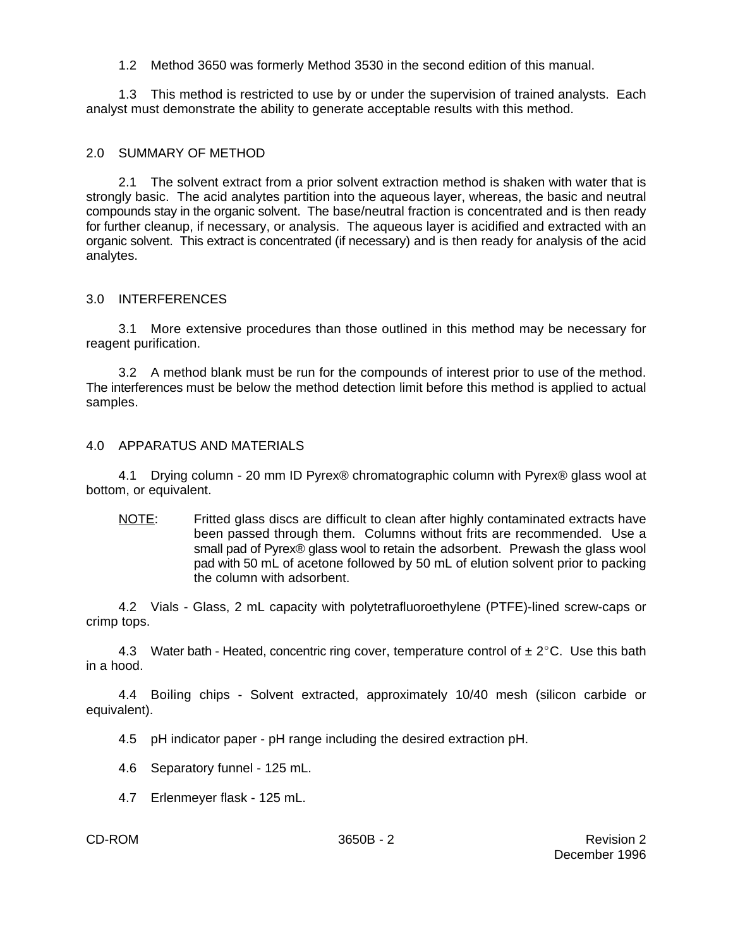1.2 Method 3650 was formerly Method 3530 in the second edition of this manual.

1.3 This method is restricted to use by or under the supervision of trained analysts. Each analyst must demonstrate the ability to generate acceptable results with this method.

## 2.0 SUMMARY OF METHOD

2.1 The solvent extract from a prior solvent extraction method is shaken with water that is strongly basic. The acid analytes partition into the aqueous layer, whereas, the basic and neutral compounds stay in the organic solvent. The base/neutral fraction is concentrated and is then ready for further cleanup, if necessary, or analysis. The aqueous layer is acidified and extracted with an organic solvent. This extract is concentrated (if necessary) and is then ready for analysis of the acid analytes.

## 3.0 INTERFERENCES

3.1 More extensive procedures than those outlined in this method may be necessary for reagent purification.

3.2 A method blank must be run for the compounds of interest prior to use of the method. The interferences must be below the method detection limit before this method is applied to actual samples.

## 4.0 APPARATUS AND MATERIALS

4.1 Drying column - 20 mm ID Pyrex® chromatographic column with Pyrex® glass wool at bottom, or equivalent.

NOTE: Fritted glass discs are difficult to clean after highly contaminated extracts have been passed through them. Columns without frits are recommended. Use a small pad of Pyrex® glass wool to retain the adsorbent. Prewash the glass wool pad with 50 mL of acetone followed by 50 mL of elution solvent prior to packing the column with adsorbent.

4.2 Vials - Glass, 2 mL capacity with polytetrafluoroethylene (PTFE)-lined screw-caps or crimp tops.

4.3 Water bath - Heated, concentric ring cover, temperature control of  $\pm 2^{\circ}$ C. Use this bath in a hood.

4.4 Boiling chips - Solvent extracted, approximately 10/40 mesh (silicon carbide or equivalent).

4.5 pH indicator paper - pH range including the desired extraction pH.

- 4.6 Separatory funnel 125 mL.
- 4.7 Erlenmeyer flask 125 mL.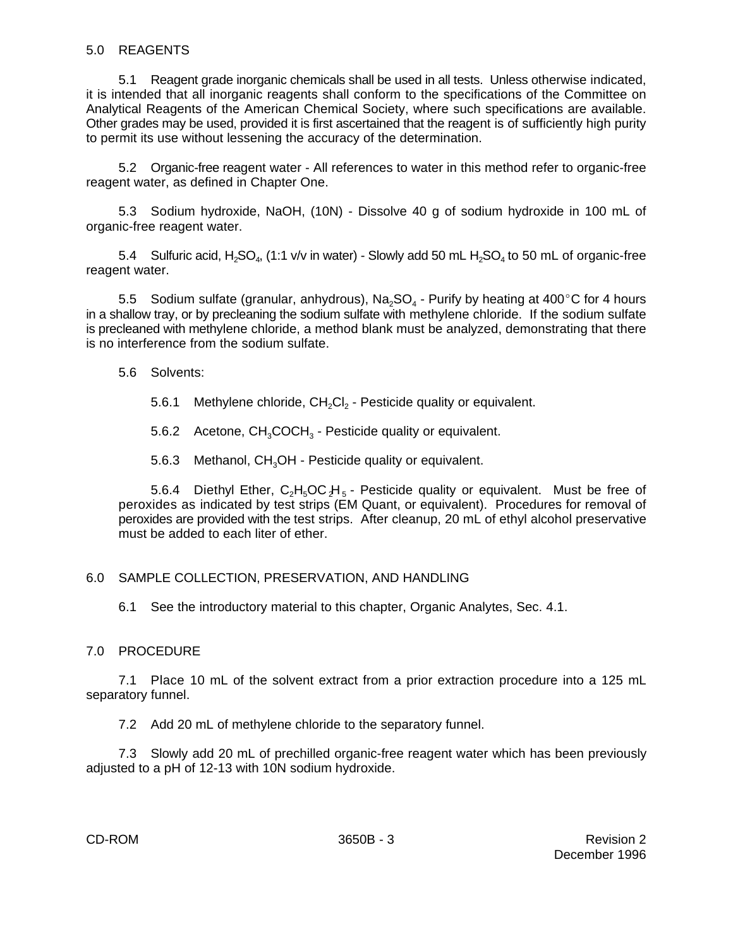#### 5.0 REAGENTS

5.1 Reagent grade inorganic chemicals shall be used in all tests. Unless otherwise indicated, it is intended that all inorganic reagents shall conform to the specifications of the Committee on Analytical Reagents of the American Chemical Society, where such specifications are available. Other grades may be used, provided it is first ascertained that the reagent is of sufficiently high purity to permit its use without lessening the accuracy of the determination.

5.2 Organic-free reagent water - All references to water in this method refer to organic-free reagent water, as defined in Chapter One.

5.3 Sodium hydroxide, NaOH, (10N) - Dissolve 40 g of sodium hydroxide in 100 mL of organic-free reagent water.

5.4 Sulfuric acid, H<sub>2</sub>SO<sub>4</sub>, (1:1 v/v in water) - Slowly add 50 mL H<sub>2</sub>SO<sub>4</sub> to 50 mL of organic-free reagent water.

5.5 Sodium sulfate (granular, anhydrous), Na<sub>2</sub>SO<sub>4</sub> - Purify by heating at 400°C for 4 hours in a shallow tray, or by precleaning the sodium sulfate with methylene chloride. If the sodium sulfate is precleaned with methylene chloride, a method blank must be analyzed, demonstrating that there is no interference from the sodium sulfate.

- 5.6 Solvents:
	- 5.6.1 Methylene chloride,  $CH<sub>2</sub>Cl<sub>2</sub>$  Pesticide quality or equivalent.
	- 5.6.2 Acetone,  $CH_3COCH_3$  Pesticide quality or equivalent.

5.6.3 Methanol,  $CH<sub>3</sub>OH$  - Pesticide quality or equivalent.

5.6.4 Diethyl Ether,  $C_2H_5OCH_5$  - Pesticide quality or equivalent. Must be free of peroxides as indicated by test strips (EM Quant, or equivalent). Procedures for removal of peroxides are provided with the test strips. After cleanup, 20 mL of ethyl alcohol preservative must be added to each liter of ether.

## 6.0 SAMPLE COLLECTION, PRESERVATION, AND HANDLING

6.1 See the introductory material to this chapter, Organic Analytes, Sec. 4.1.

## 7.0 PROCEDURE

7.1 Place 10 mL of the solvent extract from a prior extraction procedure into a 125 mL separatory funnel.

7.2 Add 20 mL of methylene chloride to the separatory funnel.

7.3 Slowly add 20 mL of prechilled organic-free reagent water which has been previously adjusted to a pH of 12-13 with 10N sodium hydroxide.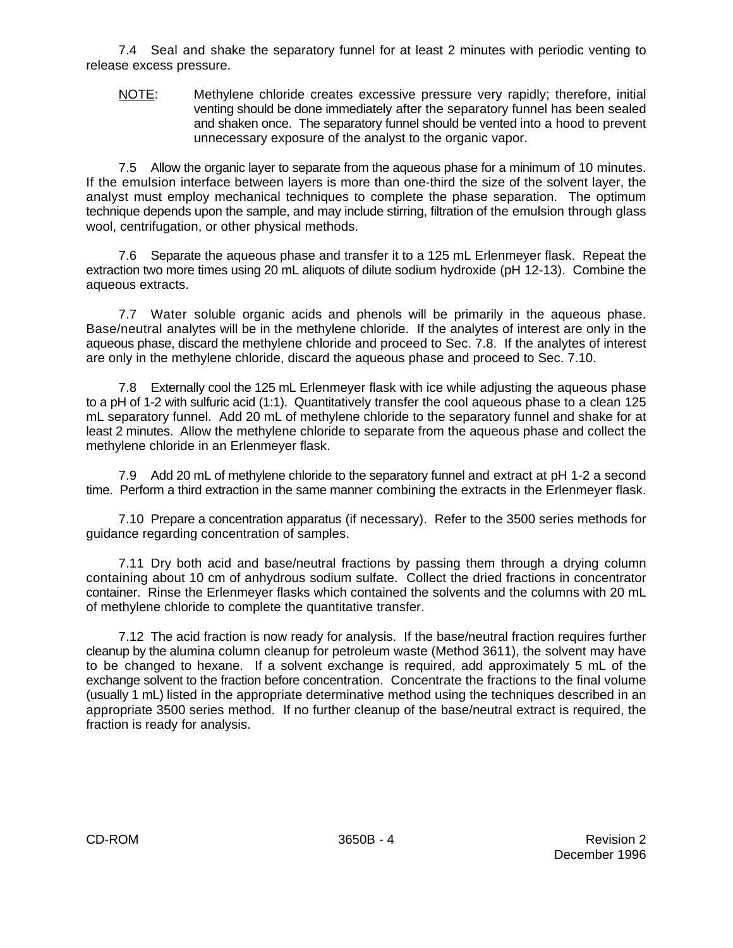7.4 Seal and shake the separatory funnel for at least 2 minutes with periodic venting to release excess pressure.

NOTE: Methylene chloride creates excessive pressure very rapidly; therefore, initial venting should be done immediately after the separatory funnel has been sealed and shaken once. The separatory funnel should be vented into a hood to prevent unnecessary exposure of the analyst to the organic vapor.

7.5 Allow the organic layer to separate from the aqueous phase for a minimum of 10 minutes. If the emulsion interface between layers is more than one-third the size of the solvent layer, the analyst must employ mechanical techniques to complete the phase separation. The optimum technique depends upon the sample, and may include stirring, filtration of the emulsion through glass wool, centrifugation, or other physical methods.

7.6 Separate the aqueous phase and transfer it to a 125 mL Erlenmeyer flask. Repeat the extraction two more times using 20 mL aliquots of dilute sodium hydroxide (pH 12-13). Combine the aqueous extracts.

7.7 Water soluble organic acids and phenols will be primarily in the aqueous phase. Base/neutral analytes will be in the methylene chloride. If the analytes of interest are only in the aqueous phase, discard the methylene chloride and proceed to Sec. 7.8. If the analytes of interest are only in the methylene chloride, discard the aqueous phase and proceed to Sec. 7.10.

7.8 Externally cool the 125 mL Erlenmeyer flask with ice while adjusting the aqueous phase to a pH of 1-2 with sulfuric acid (1:1). Quantitatively transfer the cool aqueous phase to a clean 125 mL separatory funnel. Add 20 mL of methylene chloride to the separatory funnel and shake for at least 2 minutes. Allow the methylene chloride to separate from the aqueous phase and collect the methylene chloride in an Erlenmeyer flask.

7.9 Add 20 mL of methylene chloride to the separatory funnel and extract at pH 1-2 a second time. Perform a third extraction in the same manner combining the extracts in the Erlenmeyer flask.

7.10 Prepare a concentration apparatus (if necessary). Refer to the 3500 series methods for guidance regarding concentration of samples.

7.11 Dry both acid and base/neutral fractions by passing them through a drying column containing about 10 cm of anhydrous sodium sulfate. Collect the dried fractions in concentrator container. Rinse the Erlenmeyer flasks which contained the solvents and the columns with 20 mL of methylene chloride to complete the quantitative transfer.

7.12 The acid fraction is now ready for analysis. If the base/neutral fraction requires further cleanup by the alumina column cleanup for petroleum waste (Method 3611), the solvent may have to be changed to hexane. If a solvent exchange is required, add approximately 5 mL of the exchange solvent to the fraction before concentration. Concentrate the fractions to the final volume (usually 1 mL) listed in the appropriate determinative method using the techniques described in an appropriate 3500 series method. If no further cleanup of the base/neutral extract is required, the fraction is ready for analysis.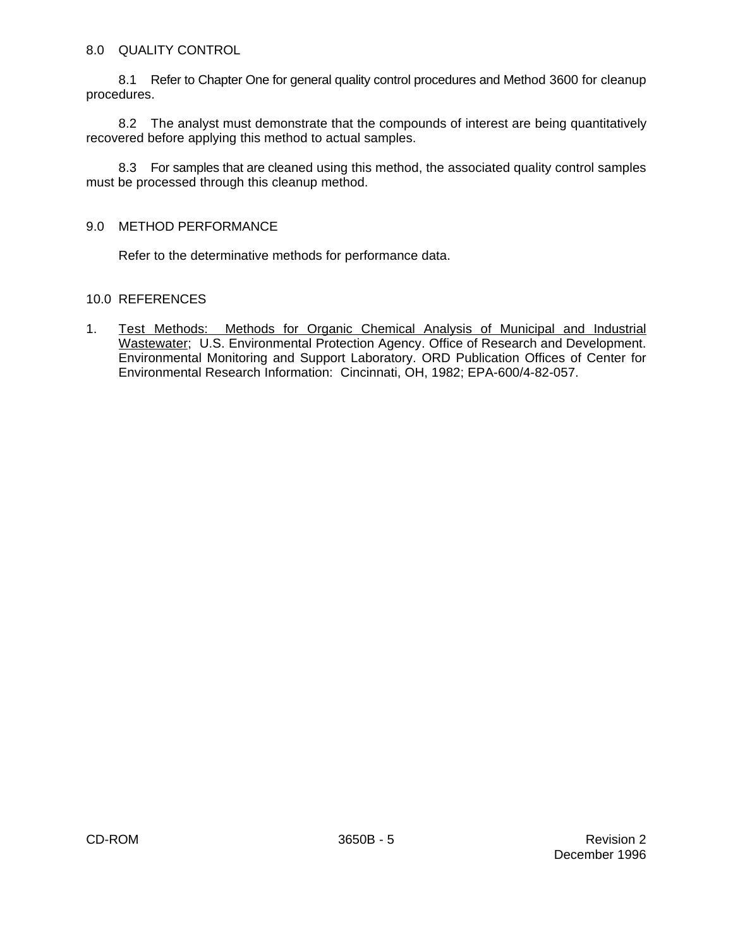## 8.0 QUALITY CONTROL

8.1 Refer to Chapter One for general quality control procedures and Method 3600 for cleanup procedures.

8.2 The analyst must demonstrate that the compounds of interest are being quantitatively recovered before applying this method to actual samples.

8.3 For samples that are cleaned using this method, the associated quality control samples must be processed through this cleanup method.

#### 9.0 METHOD PERFORMANCE

Refer to the determinative methods for performance data.

## 10.0 REFERENCES

1. Test Methods: Methods for Organic Chemical Analysis of Municipal and Industrial Wastewater; U.S. Environmental Protection Agency. Office of Research and Development. Environmental Monitoring and Support Laboratory. ORD Publication Offices of Center for Environmental Research Information: Cincinnati, OH, 1982; EPA-600/4-82-057.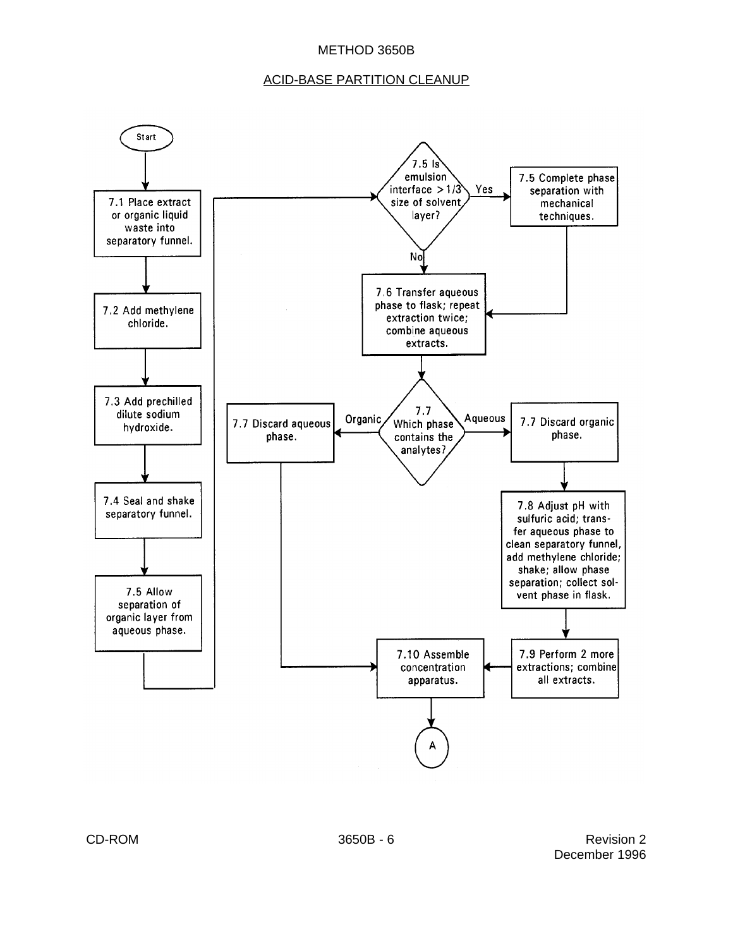#### METHOD 3650B

#### ACID-BASE PARTITION CLEANUP